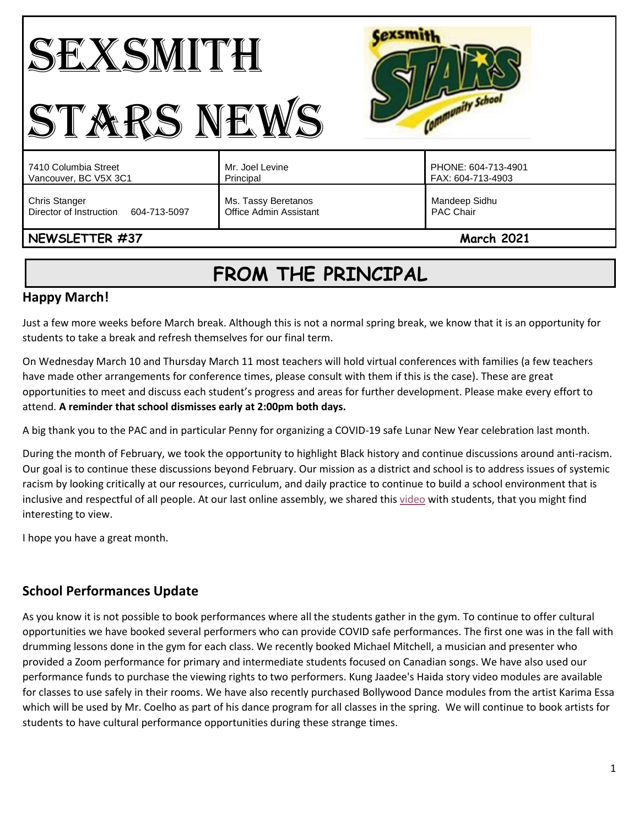#### Cexsmith SEXSMITH Community School STARS NEWS PHONE: 604-713-4901 7410 Columbia Street Mr. Joel Levine Vancouver, BC V5X 3C1 Principal FAX: 604-713-4903 Chris Stanger Ms. Tassy Beretanos Mandeep Sidhu Director of Instruction 604-713-5097 Office Admin Assistant PAC Chair **NEWSLETTER #37** March **2021**

# **FROM THE PRINCIPAL**

# **Happy March!**

Just a few more weeks before March break. Although this is not a normal spring break, we know that it is an opportunity for students to take a break and refresh themselves for our final term.

On Wednesday March 10 and Thursday March 11 most teachers will hold virtual conferences with families (a few teachers have made other arrangements for conference times, please consult with them if this is the case). These are great opportunities to meet and discuss each student's progress and areas for further development. Please make every effort to attend. **A reminder that school dismisses early at 2:00pm both days.** 

A big thank you to the PAC and in particular Penny for organizing a COVID-19 safe Lunar New Year celebration last month.

During the month of February, we took the opportunity to highlight Black history and continue discussions around anti-racism. Our goal is to continue these discussions beyond February. Our mission as a district and school is to address issues of systemic racism by looking critically at our resources, curriculum, and daily practice to continue to build a school environment that is inclusive and respectful of all people. At our last online assembly, we shared this [video](https://www.youtube.com/watch?v=C6xSyRJqIe8&feature=youtu.be) with students, that you might find interesting to view.

I hope you have a great month.

# **School Performances Update**

As you know it is not possible to book performances where all the students gather in the gym. To continue to offer cultural opportunities we have booked several performers who can provide COVID safe performances. The first one was in the fall with drumming lessons done in the gym for each class. We recently booked Michael Mitchell, a musician and presenter who provided a Zoom performance for primary and intermediate students focused on Canadian songs. We have also used our performance funds to purchase the viewing rights to two performers. Kung Jaadee's Haida story video modules are available for classes to use safely in their rooms. We have also recently purchased Bollywood Dance modules from the artist Karima Essa which will be used by Mr. Coelho as part of his dance program for all classes in the spring. We will continue to book artists for students to have cultural performance opportunities during these strange times.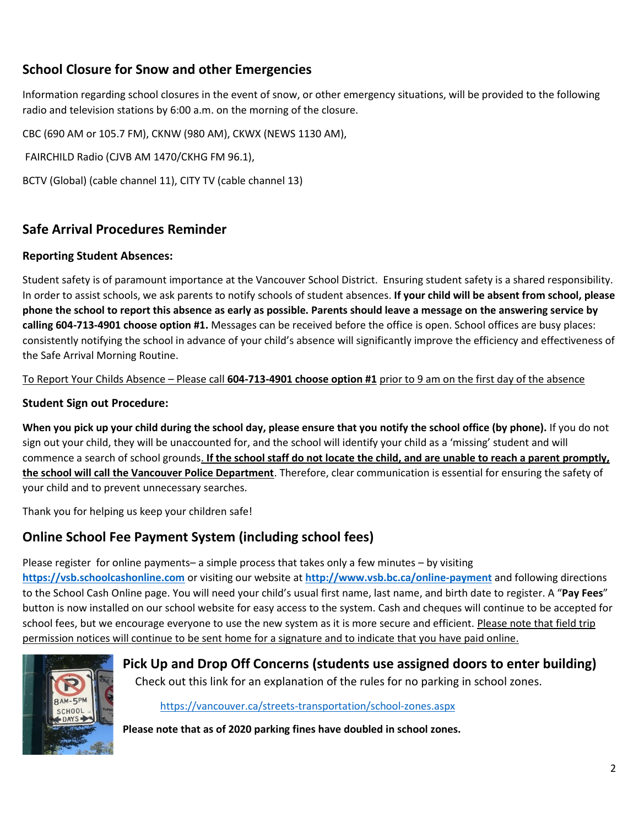# **School Closure for Snow and other Emergencies**

Information regarding school closures in the event of snow, or other emergency situations, will be provided to the following radio and television stations by 6:00 a.m. on the morning of the closure.

CBC (690 AM or 105.7 FM), CKNW (980 AM), CKWX (NEWS 1130 AM),

FAIRCHILD Radio (CJVB AM 1470/CKHG FM 96.1),

BCTV (Global) (cable channel 11), CITY TV (cable channel 13)

## **Safe Arrival Procedures Reminder**

#### **Reporting Student Absences:**

Student safety is of paramount importance at the Vancouver School District. Ensuring student safety is a shared responsibility. In order to assist schools, we ask parents to notify schools of student absences. **If your child will be absent from school, please phone the school to report this absence as early as possible. Parents should leave a message on the answering service by calling 604-713-4901 choose option #1.** Messages can be received before the office is open. School offices are busy places: consistently notifying the school in advance of your child's absence will significantly improve the efficiency and effectiveness of the Safe Arrival Morning Routine.

To Report Your Childs Absence – Please call **604-713-4901 choose option #1** prior to 9 am on the first day of the absence

#### **Student Sign out Procedure:**

**When you pick up your child during the school day, please ensure that you notify the school office (by phone).** If you do not sign out your child, they will be unaccounted for, and the school will identify your child as a 'missing' student and will commence a search of school grounds. **If the school staff do not locate the child, and are unable to reach a parent promptly, the school will call the Vancouver Police Department**. Therefore, clear communication is essential for ensuring the safety of your child and to prevent unnecessary searches.

Thank you for helping us keep your children safe!

# **Online School Fee Payment System (including school fees)**

Please register for online payments– a simple process that takes only a few minutes – by visiting **[https://vsb.schoolcashonline.com](https://vsb.schoolcashonline.com/)** or visiting our website at **<http://www.vsb.bc.ca/online-payment>** and following directions to the School Cash Online page. You will need your child's usual first name, last name, and birth date to register. A "**Pay Fees**" button is now installed on our school website for easy access to the system. Cash and cheques will continue to be accepted for school fees, but we encourage everyone to use the new system as it is more secure and efficient. Please note that field trip permission notices will continue to be sent home for a signature and to indicate that you have paid online.



# **Pick Up and Drop Off Concerns (students use assigned doors to enter building)**

Check out this link for an explanation of the rules for no parking in school zones.

<https://vancouver.ca/streets-transportation/school-zones.aspx>

**Please note that as of 2020 parking fines have doubled in school zones.**